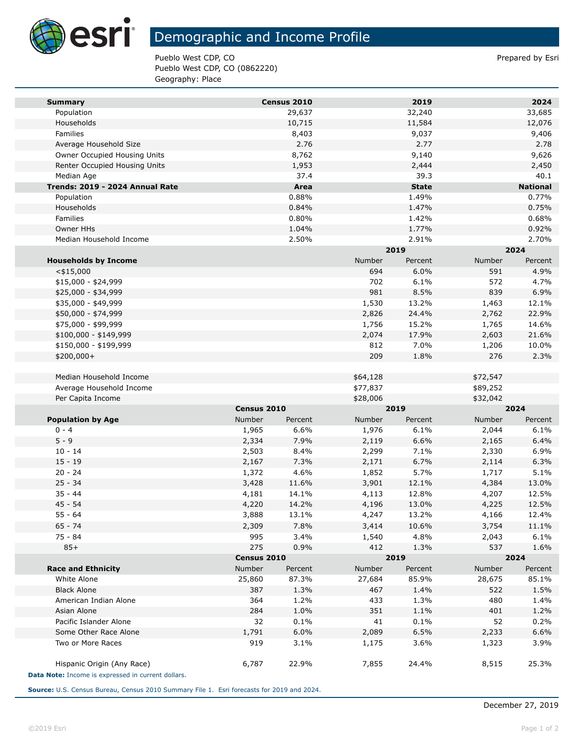

## Demographic and Income Profile

Pueblo West CDP, CO **Prepared by Estimate Prepared by Estimate Prepared by Estimate Prepared by Estimate Prepared by Estimate Prepared by Estimate Prepared by Estimate Prepared by Estimate Prepared by Estimate Prepared by** Pueblo West CDP, CO (0862220) Geography: Place

| <b>Summary</b>                                     |                   | Census 2010    |                   | 2019          |                           | 2024            |
|----------------------------------------------------|-------------------|----------------|-------------------|---------------|---------------------------|-----------------|
| Population                                         |                   | 29,637         |                   | 32,240        |                           | 33,685          |
| Households                                         |                   | 10,715         |                   | 11,584        |                           | 12,076          |
| Families                                           |                   | 8,403          |                   | 9,037         |                           | 9,406           |
| Average Household Size                             |                   | 2.76           |                   | 2.77          |                           | 2.78            |
| Owner Occupied Housing Units                       |                   | 8,762          |                   | 9,140         |                           | 9,626           |
| Renter Occupied Housing Units                      |                   | 1,953          |                   | 2,444         |                           | 2,450           |
| Median Age                                         |                   | 37.4           |                   | 39.3          |                           | 40.1            |
| Trends: 2019 - 2024 Annual Rate                    |                   | Area           |                   | <b>State</b>  |                           | <b>National</b> |
| Population                                         |                   | 0.88%          |                   | 1.49%         |                           | 0.77%           |
| Households                                         |                   | 0.84%          |                   | 1.47%         |                           | 0.75%           |
| Families                                           |                   | 0.80%          |                   | 1.42%         |                           | 0.68%           |
| Owner HHs                                          |                   | 1.04%          |                   | 1.77%         |                           | 0.92%           |
| Median Household Income                            |                   | 2.50%          |                   | 2.91%         |                           | 2.70%           |
|                                                    |                   |                |                   | 2019          |                           | 2024            |
| <b>Households by Income</b>                        |                   |                | Number            | Percent       | Number                    | Percent         |
| $<$ \$15,000                                       |                   |                | 694               | 6.0%          | 591                       | 4.9%            |
| $$15,000 - $24,999$                                |                   |                | 702               | 6.1%          | 572                       | 4.7%            |
| \$25,000 - \$34,999                                |                   |                | 981               | 8.5%          | 839                       | 6.9%            |
| \$35,000 - \$49,999                                |                   |                | 1,530             | 13.2%         | 1,463                     | 12.1%           |
| \$50,000 - \$74,999                                |                   |                | 2,826             | 24.4%         | 2,762                     | 22.9%           |
| \$75,000 - \$99,999                                |                   |                | 1,756             | 15.2%         | 1,765                     | 14.6%           |
| \$100,000 - \$149,999                              |                   |                | 2,074             | 17.9%         | 2,603                     | 21.6%           |
| \$150,000 - \$199,999                              |                   |                | 812               | 7.0%          | 1,206                     | 10.0%           |
| \$200,000+                                         |                   |                | 209               | 1.8%          | 276                       | 2.3%            |
|                                                    |                   |                |                   |               |                           |                 |
| Median Household Income                            |                   |                | \$64,128          |               | \$72,547                  |                 |
| Average Household Income                           |                   |                | \$77,837          |               | \$89,252                  |                 |
| Per Capita Income                                  |                   |                | \$28,006          |               | \$32,042                  |                 |
|                                                    | Census 2010       |                | 2019              |               | 2024                      |                 |
| <b>Population by Age</b>                           | Number            | Percent        | Number            | Percent       | Number                    | Percent         |
| $0 - 4$                                            | 1,965             | 6.6%           | 1,976             | 6.1%          | 2,044                     | 6.1%            |
| $5 - 9$                                            | 2,334             | 7.9%           | 2,119             | 6.6%          | 2,165                     | 6.4%            |
| $10 - 14$                                          | 2,503             | 8.4%           | 2,299             | 7.1%<br>6.7%  | 2,330                     | 6.9%            |
| $15 - 19$<br>$20 - 24$                             | 2,167             | 7.3%           | 2,171             |               | 2,114                     | 6.3%            |
| $25 - 34$                                          | 1,372<br>3,428    | 4.6%<br>11.6%  | 1,852             | 5.7%<br>12.1% | 1,717<br>4,384            | 5.1%<br>13.0%   |
| $35 - 44$                                          |                   |                | 3,901             | 12.8%         |                           | 12.5%           |
| $45 - 54$                                          | 4,181<br>4,220    | 14.1%<br>14.2% | 4,113<br>4,196    | 13.0%         | 4,207<br>4,225            | 12.5%           |
| $55 - 64$                                          | 3,888             | 13.1%          | 4,247             | 13.2%         | 4,166                     | 12.4%           |
| $65 - 74$                                          |                   | 7.8%           |                   |               |                           |                 |
| 75 - 84                                            | 2,309<br>995      | 3.4%           | 3,414             | 10.6%<br>4.8% | 3,754                     | 11.1%           |
| $85+$                                              | 275               | 0.9%           | 1,540<br>412      |               | 2,043<br>537              | 6.1%            |
|                                                    | Census 2010       |                |                   | 1.3%<br>2019  |                           | 1.6%            |
| <b>Race and Ethnicity</b>                          | Number<br>Percent |                | Number<br>Percent |               | 2024<br>Number<br>Percent |                 |
| White Alone                                        | 25,860            | 87.3%          | 27,684            | 85.9%         | 28,675                    | 85.1%           |
| <b>Black Alone</b>                                 | 387               | 1.3%           | 467               | 1.4%          | 522                       | 1.5%            |
| American Indian Alone                              | 364               | 1.2%           | 433               | 1.3%          | 480                       | 1.4%            |
| Asian Alone                                        | 284               | 1.0%           | 351               | 1.1%          | 401                       | 1.2%            |
| Pacific Islander Alone                             | 32                | 0.1%           | 41                | 0.1%          | 52                        | 0.2%            |
| Some Other Race Alone                              | 1,791             | 6.0%           | 2,089             | 6.5%          | 2,233                     | 6.6%            |
| Two or More Races                                  | 919               | 3.1%           | 1,175             | 3.6%          | 1,323                     | 3.9%            |
|                                                    |                   |                |                   |               |                           |                 |
| Hispanic Origin (Any Race)                         | 6,787             | 22.9%          | 7,855             | 24.4%         | 8,515                     | 25.3%           |
| Data Note: Income is expressed in current dollars. |                   |                |                   |               |                           |                 |
|                                                    |                   |                |                   |               |                           |                 |

**Source:** U.S. Census Bureau, Census 2010 Summary File 1. Esri forecasts for 2019 and 2024.